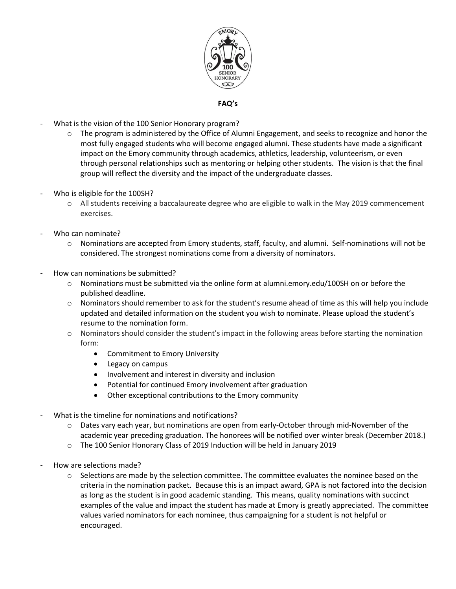

## **FAQ's**

- What is the vision of the 100 Senior Honorary program?
	- $\circ$  The program is administered by the Office of Alumni Engagement, and seeks to recognize and honor the most fully engaged students who will become engaged alumni. These students have made a significant impact on the Emory community through academics, athletics, leadership, volunteerism, or even through personal relationships such as mentoring or helping other students. The vision is that the final group will reflect the diversity and the impact of the undergraduate classes.
- Who is eligible for the 100SH?
	- o All students receiving a baccalaureate degree who are eligible to walk in the May 2019 commencement exercises.
- Who can nominate?
	- $\circ$  Nominations are accepted from Emory students, staff, faculty, and alumni. Self-nominations will not be considered. The strongest nominations come from a diversity of nominators.
- How can nominations be submitted?
	- $\circ$  Nominations must be submitted via the online form at alumni.emory.edu/100SH on or before the published deadline.
	- $\circ$  Nominators should remember to ask for the student's resume ahead of time as this will help you include updated and detailed information on the student you wish to nominate. Please upload the student's resume to the nomination form.
	- $\circ$  Nominators should consider the student's impact in the following areas before starting the nomination form:
		- Commitment to Emory University
		- Legacy on campus
		- Involvement and interest in diversity and inclusion
		- Potential for continued Emory involvement after graduation
		- Other exceptional contributions to the Emory community
- What is the timeline for nominations and notifications?
	- o Dates vary each year, but nominations are open from early-October through mid-November of the academic year preceding graduation. The honorees will be notified over winter break (December 2018.)
	- o The 100 Senior Honorary Class of 2019 Induction will be held in January 2019
- How are selections made?
	- $\circ$  Selections are made by the selection committee. The committee evaluates the nominee based on the criteria in the nomination packet. Because this is an impact award, GPA is not factored into the decision as long as the student is in good academic standing. This means, quality nominations with succinct examples of the value and impact the student has made at Emory is greatly appreciated. The committee values varied nominators for each nominee, thus campaigning for a student is not helpful or encouraged.